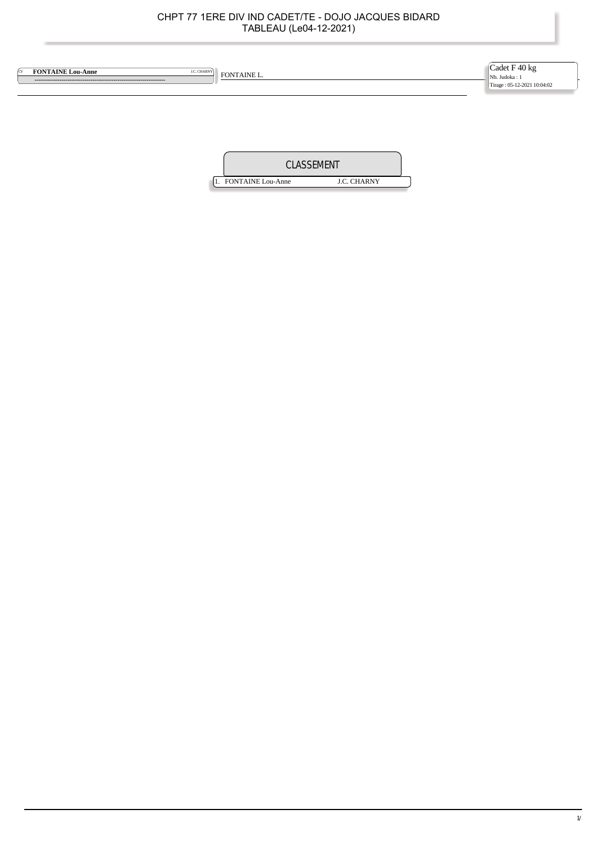| ĺα | <b>FONTAINE Lou-Anne</b><br><b>J.C. CHARNY</b> | FONTAINE L. | $\begin{array}{c} \textrm{Cadet }F \; 40 \; kg \\ \textrm{Nb. Judoka:1} \end{array}$<br>Tirage: 05-12-2021 10:04:02 |
|----|------------------------------------------------|-------------|---------------------------------------------------------------------------------------------------------------------|
|    |                                                |             |                                                                                                                     |

| CLASSEMENT               |                    |  |  |  |
|--------------------------|--------------------|--|--|--|
| <b>FONTAINE</b> Lou-Anne | <b>J.C. CHARNY</b> |  |  |  |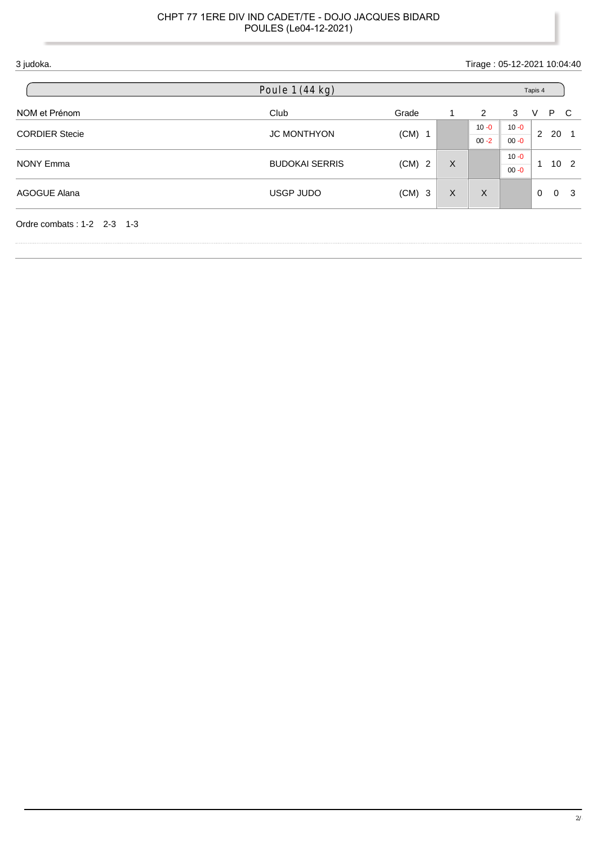| 3 judoka.                    |                          |          |   | Tirage: 05-12-2021 10:04:40 |                                                                                                                                                         |   |    |   |  |  |  |
|------------------------------|--------------------------|----------|---|-----------------------------|---------------------------------------------------------------------------------------------------------------------------------------------------------|---|----|---|--|--|--|
|                              | Poule $1(44 \text{ kg})$ |          |   |                             |                                                                                                                                                         |   |    |   |  |  |  |
| NOM et Prénom                | Club                     | Grade    | 1 | 2                           | 3                                                                                                                                                       | V | P. | C |  |  |  |
|                              | <b>JC MONTHYON</b>       |          |   | $10 - 0$                    | Tapis 4<br>$10 - 0$<br>$\overline{2}$<br>20<br>- 1<br>$00 - 0$<br>$10 - 0$<br>10 <sub>2</sub><br>$\mathbf{1}$<br>$00 - 0$<br>$\Omega$<br>-3<br>$\Omega$ |   |    |   |  |  |  |
| <b>CORDIER Stecie</b>        |                          | $(CM)$ 1 |   | $00 - 2$                    |                                                                                                                                                         |   |    |   |  |  |  |
| <b>NONY Emma</b>             |                          |          |   |                             |                                                                                                                                                         |   |    |   |  |  |  |
|                              | <b>BUDOKAI SERRIS</b>    | $(CM)$ 2 | X |                             |                                                                                                                                                         |   |    |   |  |  |  |
| AGOGUE Alana                 | USGP JUDO                | $(CM)$ 3 | X | $\times$                    |                                                                                                                                                         |   |    |   |  |  |  |
| Ordre combats: $1-2$ 2-3 1-3 |                          |          |   |                             |                                                                                                                                                         |   |    |   |  |  |  |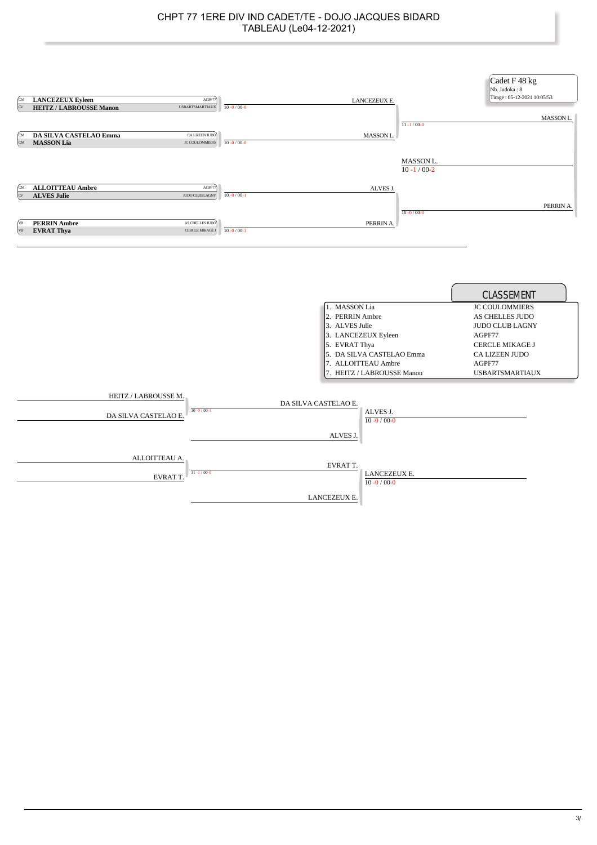| ſсм<br>$\infty$  | <b>LANCEZEUX Eyleen</b><br>AGPF77<br><b>HEITZ / LABROUSSE Manon</b><br>$\label{thm:UBBARTSMARTIAUX} \textsc{USBARTSMARTIAUX}$ | $10 - 0 / 00 - 0$ | LANCEZEUX E.                                                                                                                                                                 | $11 - 1/00 - 0$                | Cadet F 48 kg<br>Nb. Judoka: 8<br>Tirage: 05-12-2021 10:05:53<br>MASSON L.                                                                                                        |
|------------------|-------------------------------------------------------------------------------------------------------------------------------|-------------------|------------------------------------------------------------------------------------------------------------------------------------------------------------------------------|--------------------------------|-----------------------------------------------------------------------------------------------------------------------------------------------------------------------------------|
| ſсм<br><b>CM</b> | <b>DA SILVA CASTELAO Emma</b><br>CA LIZEEN JUDO<br><b>JC COULOMMIERS</b>                                                      | $10 - 0 / 00 - 0$ | MASSON L.                                                                                                                                                                    |                                |                                                                                                                                                                                   |
|                  | <b>MASSON Lia</b>                                                                                                             |                   |                                                                                                                                                                              | MASSON L.<br>$10 - 1 / 00 - 2$ |                                                                                                                                                                                   |
| ſсм              | <b>ALLOITTEAU Ambre</b><br>AGPF77                                                                                             |                   | ALVES J.                                                                                                                                                                     |                                |                                                                                                                                                                                   |
| $\alpha$         | <b>ALVES Julie</b><br>JUDO CLUB LAGNY                                                                                         | $10 - 0 / 00 - 1$ |                                                                                                                                                                              |                                |                                                                                                                                                                                   |
|                  |                                                                                                                               |                   |                                                                                                                                                                              | $10 - 0/00 - 0$                | PERRIN A.                                                                                                                                                                         |
| ĺчв              | <b>PERRIN Ambre</b><br>AS CHELLES JUDO                                                                                        |                   | PERRIN A.                                                                                                                                                                    |                                |                                                                                                                                                                                   |
| VB               | CERCLE MIKAGE J<br><b>EVRAT Thya</b>                                                                                          | $10 - 0 / 00 - 3$ |                                                                                                                                                                              |                                |                                                                                                                                                                                   |
|                  |                                                                                                                               |                   |                                                                                                                                                                              |                                |                                                                                                                                                                                   |
|                  |                                                                                                                               |                   | 1. MASSON Lia<br>2. PERRIN Ambre<br>3. ALVES Julie<br>3. LANCEZEUX Eyleen<br>5. EVRAT Thya<br>5. DA SILVA CASTELAO Emma<br>7. ALLOITTEAU Ambre<br>7. HEITZ / LABROUSSE Manon |                                | <b>CLASSEMENT</b><br><b>JC COULOMMIERS</b><br>AS CHELLES JUDO<br><b>JUDO CLUB LAGNY</b><br>AGPF77<br><b>CERCLE MIKAGE J</b><br>CA LIZEEN JUDO<br>AGPF77<br><b>USBARTSMARTIAUX</b> |
|                  | HEITZ / LABROUSSE M.<br>$10 - 0 / 00 - 1$<br>DA SILVA CASTELAO E.                                                             |                   | DA SILVA CASTELAO E.<br>ALVES J.<br>$10 - 0 / 00 - 0$<br>ALVES J.                                                                                                            |                                |                                                                                                                                                                                   |
|                  | ALLOITTEAU A.<br>$11 - 1 / 00 - 0$<br><b>EVRATT</b>                                                                           |                   | EVRATT.<br>LANCEZEUX E.<br>$10 - 0 / 00 - 0$                                                                                                                                 |                                |                                                                                                                                                                                   |
|                  |                                                                                                                               |                   | LANCEZEUX E.                                                                                                                                                                 |                                |                                                                                                                                                                                   |

Ï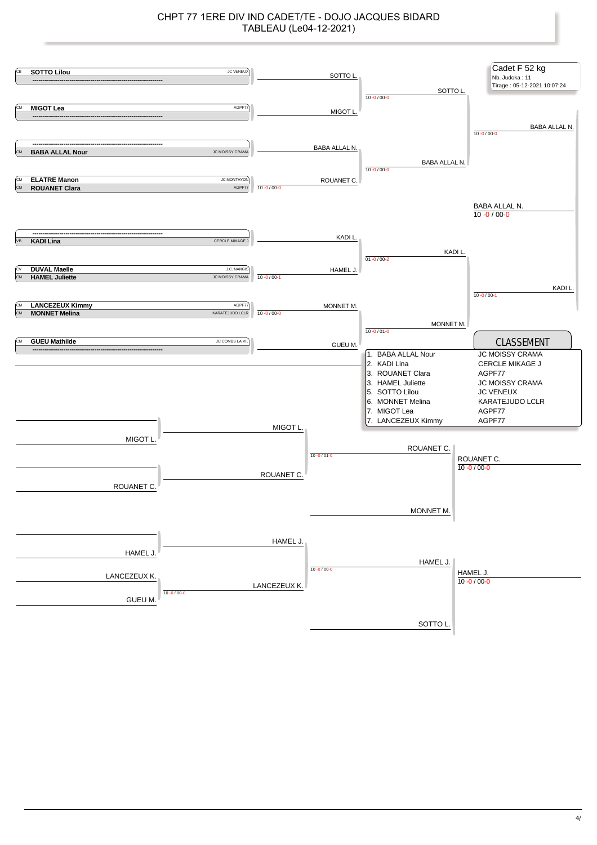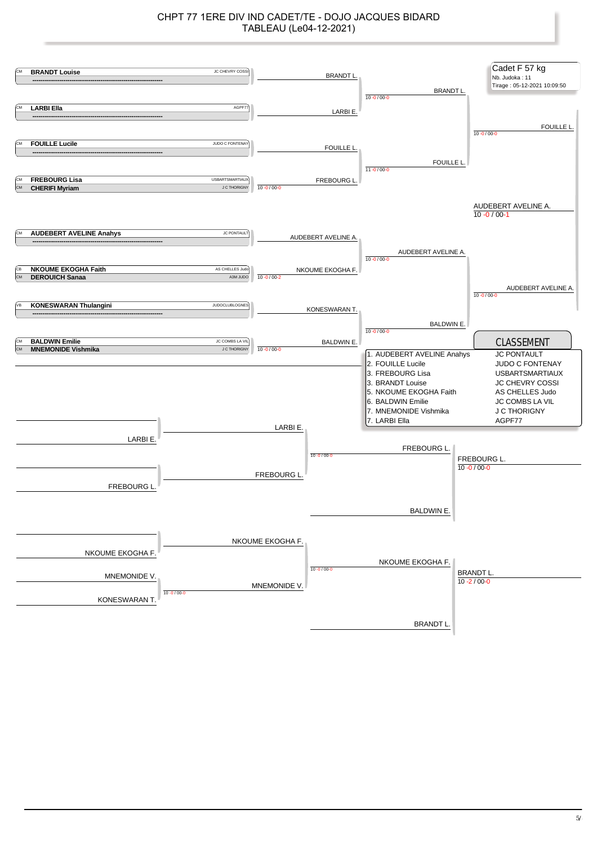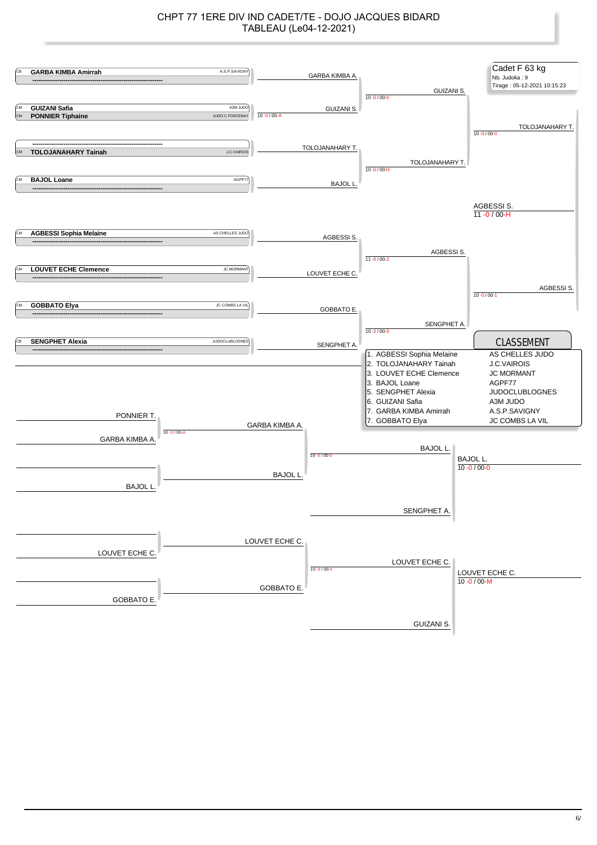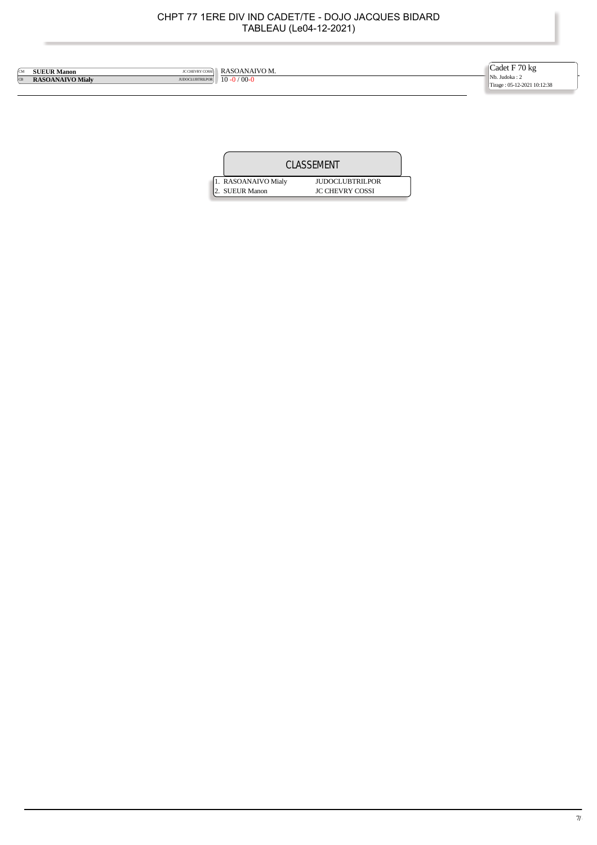| ÍСM       | <b>SUEUR Manon</b>                                    | <b>IC CHEVRY COSSI</b> RASOANAIVO M. | Cadet F 70 kg                                |
|-----------|-------------------------------------------------------|--------------------------------------|----------------------------------------------|
| <b>CB</b> | JUDOCLUBTRILPOR $10 - 0 / 00 - 0$<br>RASOANAIVO Mialv |                                      | Nb. Judoka: 2<br>Tirage: 05-12-2021 10:12:38 |
|           |                                                       |                                      |                                              |

|  |                                        | CLASSEMENT                                       |  |
|--|----------------------------------------|--------------------------------------------------|--|
|  | 1. RASOANAIVO Mialy<br>12. SUEUR Manon | <b>JUDOCLUBTRILPOR</b><br><b>JC CHEVRY COSSI</b> |  |
|  |                                        |                                                  |  |